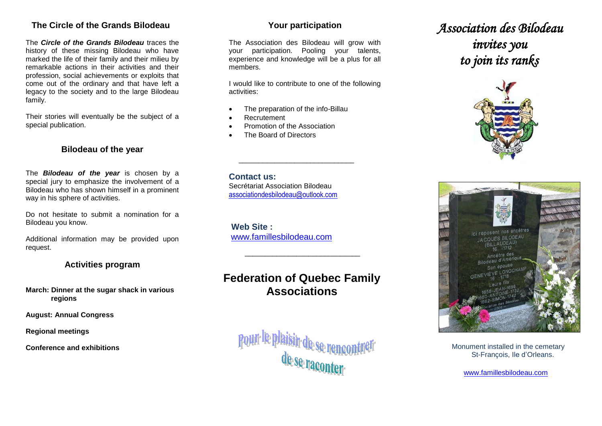### **The Circle of the Grands Bilodeau**

The *Circle of the Grands Bilodeau* traces the history of these missing Bilodeau who have marked the life of their family and their milieu by remarkable actions in their activities and their profession, social achievements or exploits that come out of the ordinary and that have left a legacy to the society and to the large Bilodeau family.

Their stories will eventually be the subject of a special publication.

#### **Bilodeau of the year**

The *Bilodeau of the year* is chosen by a special jury to emphasize the involvement of a Bilodeau who has shown himself in a prominent way in his sphere of activities.

Do not hesitate to submit a nomination for a Bilodeau you know.

Additional information may be provided upon request.

### **Activities program**

**March: Dinner at the sugar shack in various regions**

**August: Annual Congress**

**Regional meetings**

**Conference and exhibitions**

### **Your participation**

The Association des Bilodeau will grow with your participation. Pooling your talents, experience and knowledge will be a plus for all members.

I would like to contribute to one of the following activities:

- The preparation of the info-Billau
- Recrutement
- Promotion of the Association
- The Board of Directors

**Contact us:** Secrétariat Association Bilodeau [associationdesbilodeau@outlook.com](mailto:associationdesbilodeau@outlook.com)

 $\overline{\phantom{a}}$  , and the set of the set of the set of the set of the set of the set of the set of the set of the set of the set of the set of the set of the set of the set of the set of the set of the set of the set of the s

**Web Site :**  [www.famillesbilodeau.com](http://www.famillesbilodeau.com/)

### **Federation of Quebec Family Associations**

\_\_\_\_\_\_\_\_\_\_\_\_\_\_\_\_\_\_\_\_\_\_\_\_\_\_\_\_\_



## *Association des Bilodeau invites you to join its ranks*





 Monument installed in the cemetary St-François, Ile d'Orleans.

[www.famillesbilodeau.com](http://www.famillesbilodeau.com/)